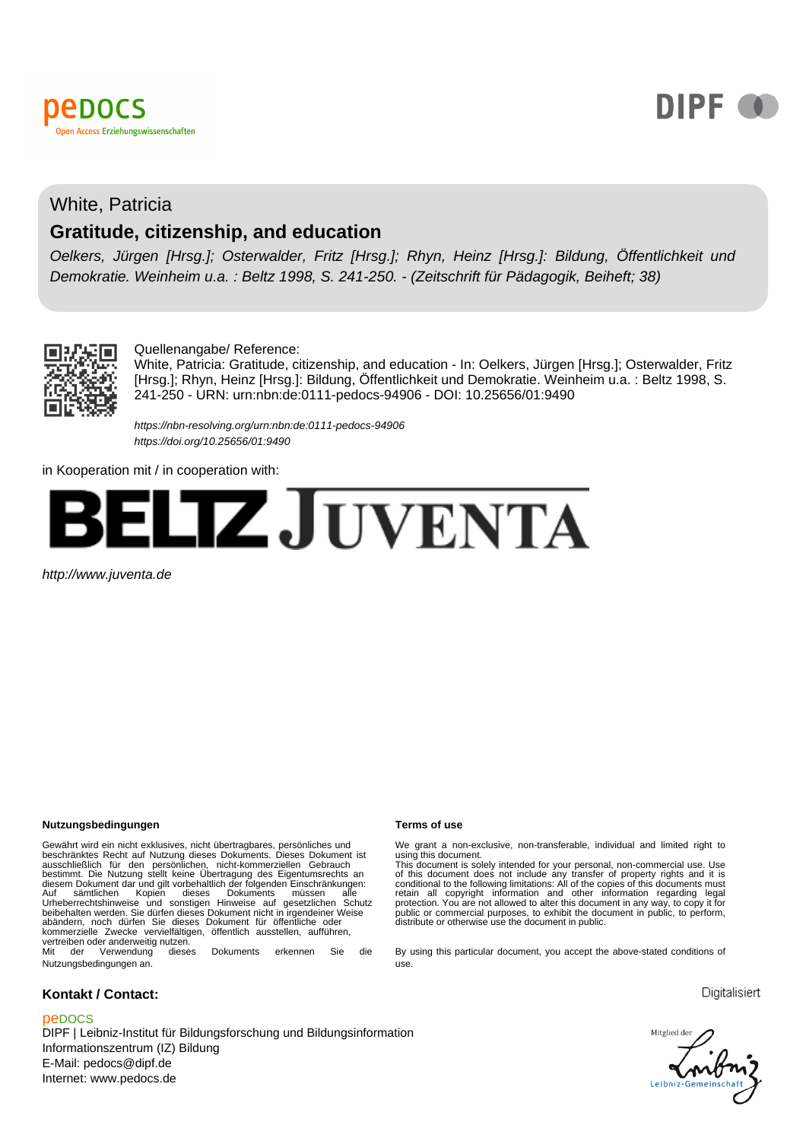



# White, Patricia

# **Gratitude, citizenship, and education**

Oelkers, Jürgen [Hrsg.]; Osterwalder, Fritz [Hrsg.]; Rhyn, Heinz [Hrsg.]: Bildung, Öffentlichkeit und Demokratie. Weinheim u.a. : Beltz 1998, S. 241-250. - (Zeitschrift für Pädagogik, Beiheft; 38)



### Quellenangabe/ Reference:

White, Patricia: Gratitude, citizenship, and education - In: Oelkers, Jürgen [Hrsg.]; Osterwalder, Fritz [Hrsg.]; Rhyn, Heinz [Hrsg.]: Bildung, Öffentlichkeit und Demokratie. Weinheim u.a. : Beltz 1998, S. 241-250 - URN: urn:nbn:de:0111-pedocs-94906 - DOI: 10.25656/01:9490

https://nbn-resolving.org/urn:nbn:de:0111-pedocs-94906 https://doi.org/10.25656/01:9490

in Kooperation mit / in cooperation with:

# **IZ JUVENTA**

http://www.juventa.de

#### **Nutzungsbedingungen Terms of use**

Gewährt wird ein nicht exklusives, nicht übertragbares, persönliches und beschränktes Recht auf Nutzung dieses Dokuments. Dieses Dokument ist ausschließlich für den persönlichen, nicht-kommerziellen Gebrauch bestimmt. Die Nutzung stellt keine Übertragung des Eigentumsrechts an diesem Dokument dar und gilt vorbehaltlich der folgenden Einschränkungen: Auf sämtlichen Kopien dieses Dokuments müssen alle<br>Urheberrechtshinweise und sonstigen Hinweise auf gesetzlichen Schutz<br>beibehalten werden. Sie dürfen dieses Dokument nicht in irgendeiner Weise abändern, noch dürfen Sie dieses Dokument für öffentliche oder kommerzielle Zwecke vervielfältigen, öffentlich ausstellen, aufführen, vertreiben oder anderweitig nutzen.<br>Mit der Verwendung diese dieses Dokuments erkennen Sie die

Nutzungsbedingungen an.

#### **Kontakt / Contact:**

#### peDOCS

DIPF | Leibniz-Institut für Bildungsforschung und Bildungsinformation Informationszentrum (IZ) Bildung E-Mail: pedocs@dipf.de Internet: www.pedocs.de

We grant a non-exclusive, non-transferable, individual and limited right to

using this document.<br>This document is solely intended for your personal, non-commercial use. Use<br>of this document does not include any transfer of property rights and it is<br>conditional to the following limitations: All of retain all copyright information and other information regarding legal protection. You are not allowed to alter this document in any way, to copy it for public or commercial purposes, to exhibit the document in public, to perform, distribute or otherwise use the document in public.

By using this particular document, you accept the above-stated conditions of use.

Digitalisiert

Mitaliad de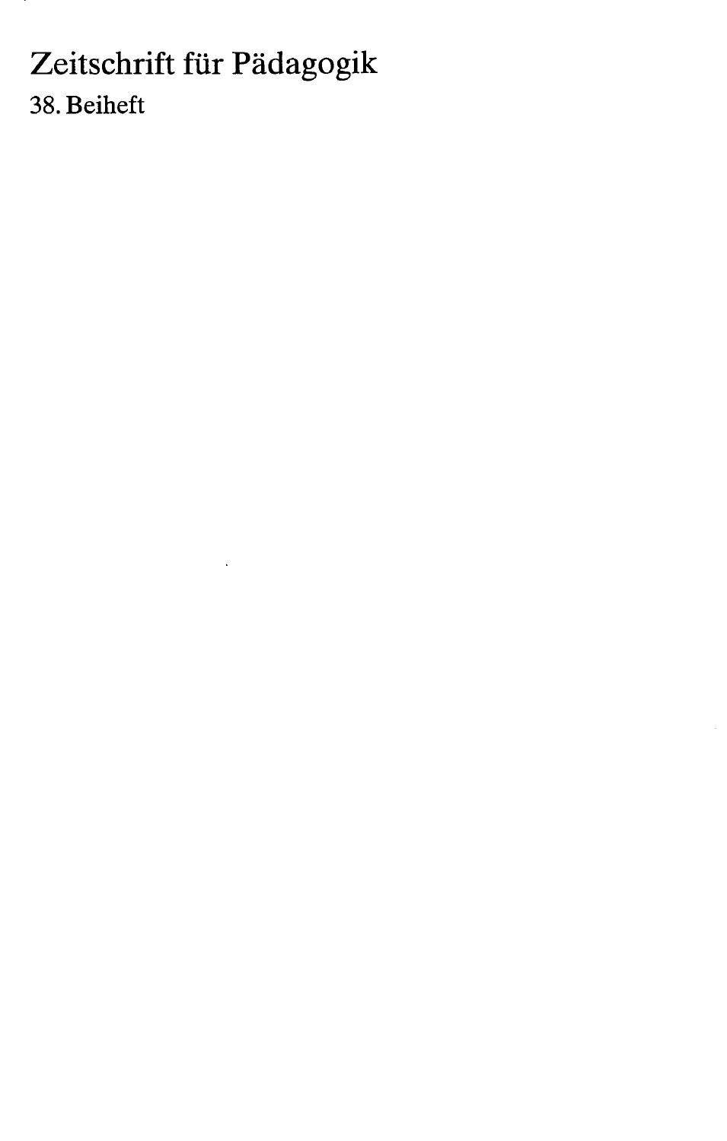# Zeitschrift für Pädagogik 38. Beiheft

 $\ddot{\phantom{a}}$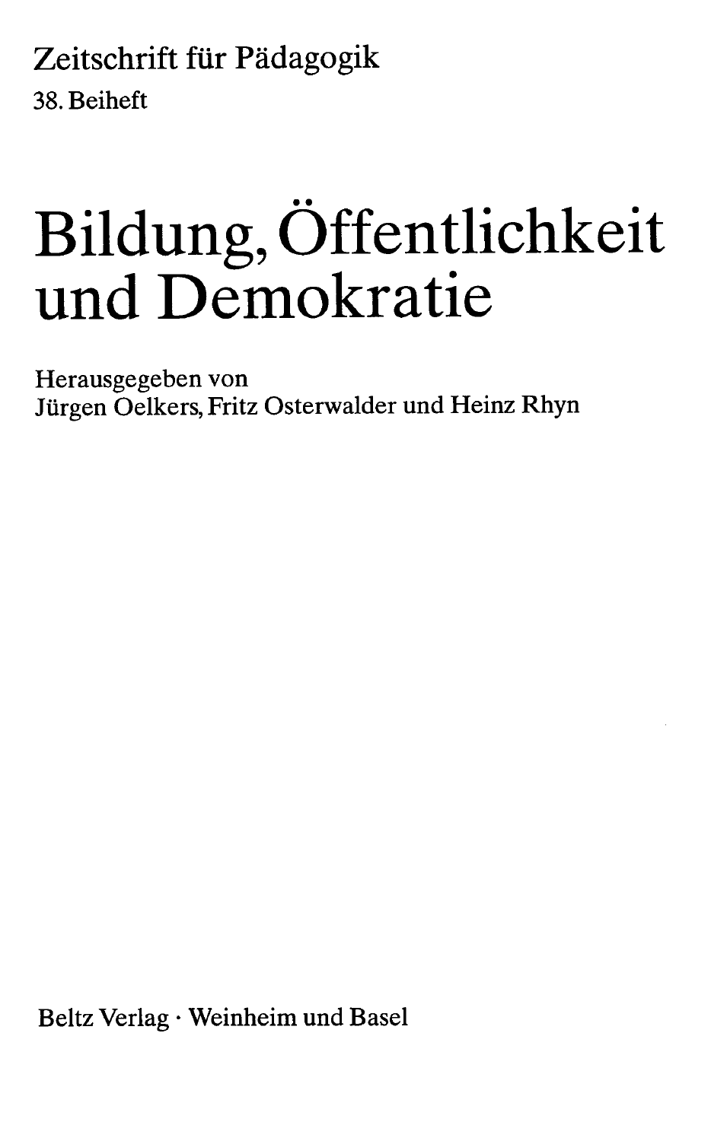Zeitschrift für Pädagogik 38. Beiheft

# Bildung, Öffentlichkeit und Demokratie

Herausgegeben von Jürgen Oelkers, Fritz Osterwalder und Heinz Rhyn

Beltz Verlag • Weinheim und Basel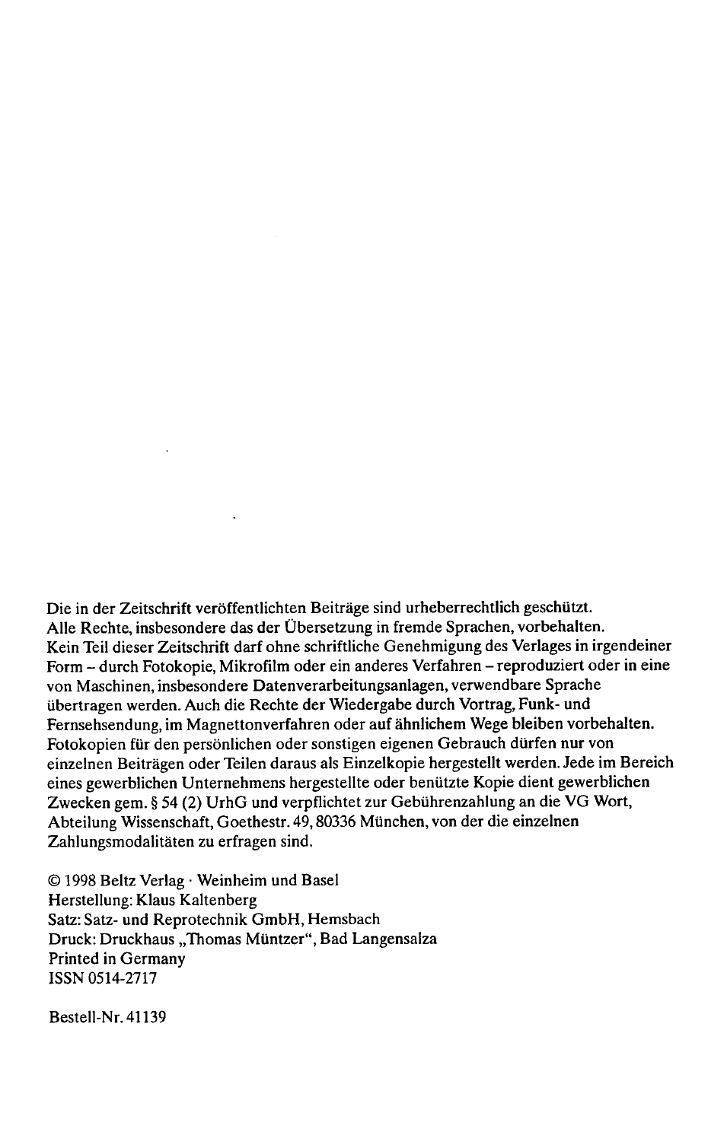Die in der Zeitschrift veröffentlichten Beiträge sind urheberrechtlich geschützt. Alle Rechte, insbesondere das der Übersetzung in fremde Sprachen, vorbehalten. Kein Teil dieser Zeitschrift darf ohne schriftliche Genehmigung des Verlages in irgendeiner Form - durch Fotokopie, Mikrofilm oder ein anderes Verfahren - reproduziert oder in eine von Maschinen, insbesondere Datenverarbeitungsanlagen, verwendbare Sprache übertragen werden. Auch die Rechte der Wiedergabe durch Vortrag, Funk- und Fernsehsendung, im Magnettonverfahren oder auf ähnlichem Wege bleiben vorbehalten. Fotokopien für den persönlichen oder sonstigen eigenen Gebrauch dürfen nur von einzelnen Beiträgen oder Teilen daraus als Einzelkopie hergestellt werden. Jede im Bereich eines gewerblichen Unternehmens hergestellte oder benützte Kopie dient gewerblichen Zwecken gem. § <sup>54</sup> (2) UrhG und verpflichtet zur Gebührenzahlung an die VG Wort, Abteilung Wissenschaft, Goethestr. 49,80336 München, von der die einzelnen Zahlungsmodalitäten zu erfragen sind.

© 1998 Beltz Verlag · Weinheim und Basel Herstellung: Klaus Kaltenberg Satz: Satz- und Reprotechnik GmbH, Hemsbach Druck: Druckhaus "Thomas Müntzer", Bad Langensalza Printed in Germany ISSN 0514-2717

Bestell-Nr. 41139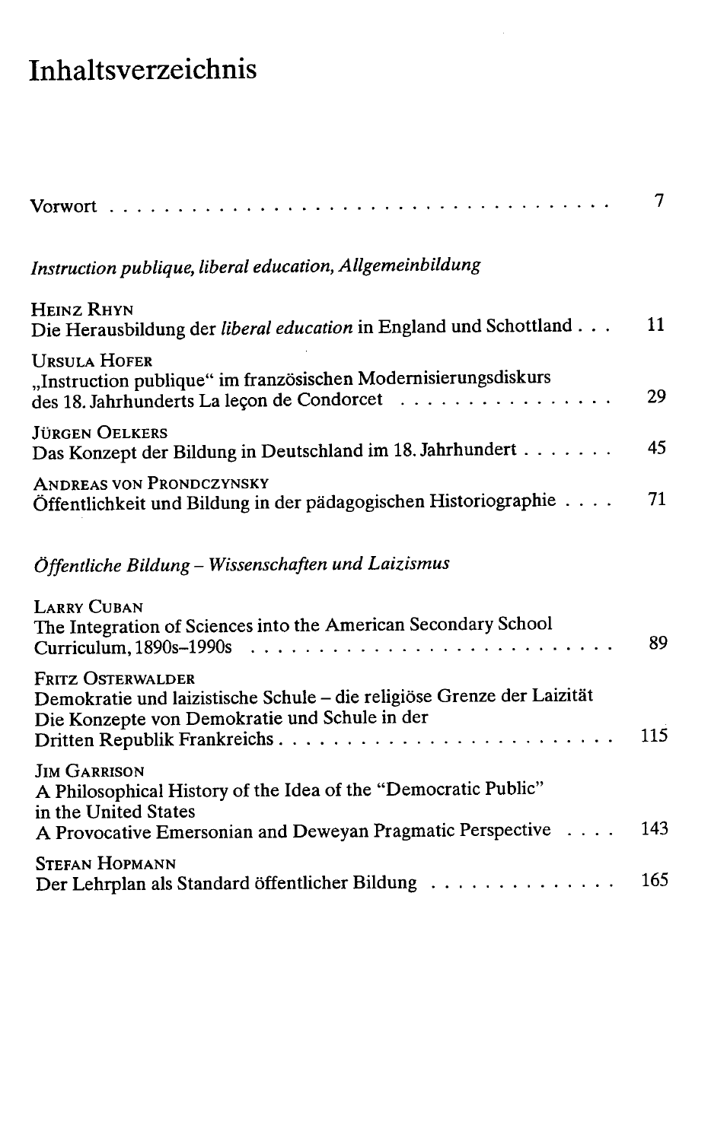# Inhaltsverzeichnis

|                                                                                                                                                                                     | 7   |
|-------------------------------------------------------------------------------------------------------------------------------------------------------------------------------------|-----|
| Instruction publique, liberal education, Allgemeinbildung                                                                                                                           |     |
| <b>HEINZ RHYN</b><br>Die Herausbildung der liberal education in England und Schottland                                                                                              | 11  |
| <b>URSULA HOFER</b><br>"Instruction publique" im französischen Modernisierungsdiskurs<br>des 18. Jahrhunderts La leçon de Condorcet                                                 | 29  |
| <b>JÜRGEN OELKERS</b><br>Das Konzept der Bildung in Deutschland im 18. Jahrhundert                                                                                                  | 45  |
| <b>ANDREAS VON PRONDCZYNSKY</b><br>Offentlichkeit und Bildung in der pädagogischen Historiographie                                                                                  | 71  |
| Öffentliche Bildung - Wissenschaften und Laizismus                                                                                                                                  |     |
| <b>LARRY CUBAN</b><br>The Integration of Sciences into the American Secondary School                                                                                                | 89  |
| <b>FRITZ OSTERWALDER</b><br>Demokratie und laizistische Schule - die religiöse Grenze der Laizität<br>Die Konzepte von Demokratie und Schule in der<br>Dritten Republik Frankreichs | 115 |
| <b>JIM GARRISON</b><br>A Philosophical History of the Idea of the "Democratic Public"<br>in the United States<br>A Provocative Emersonian and Deweyan Pragmatic Perspective         | 143 |
| <b>STEFAN HOPMANN</b><br>Der Lehrplan als Standard öffentlicher Bildung                                                                                                             | 165 |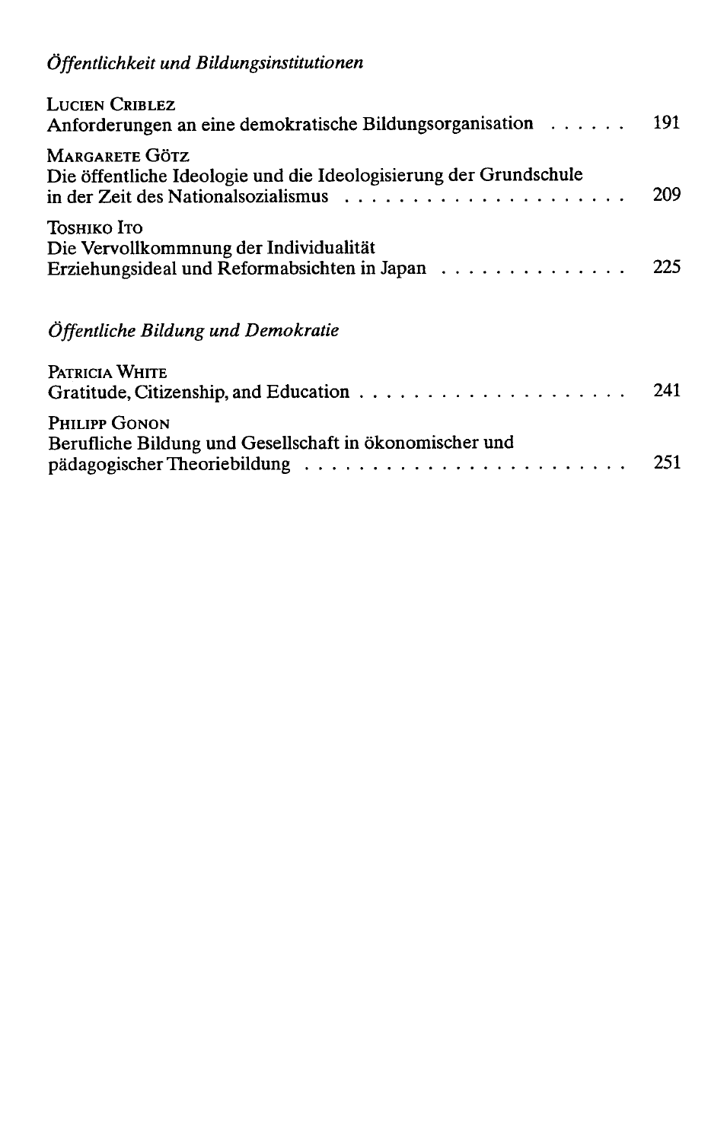# Öffentlichkeit und Bildungsinstitutionen

| <b>LUCIEN CRIBLEZ</b><br>Anforderungen an eine demokratische Bildungsorganisation                     | 191 |
|-------------------------------------------------------------------------------------------------------|-----|
| MARGARETE GÖTZ<br>Die öffentliche Ideologie und die Ideologisierung der Grundschule                   | 209 |
| Тоѕніко Іто<br>Die Vervollkommnung der Individualität<br>Erziehungsideal und Reformabsichten in Japan | 225 |
| Öffentliche Bildung und Demokratie                                                                    |     |
| PATRICIA WHITE                                                                                        | 241 |
| PHILIPP GONON<br>Berufliche Bildung und Gesellschaft in ökonomischer und                              | 251 |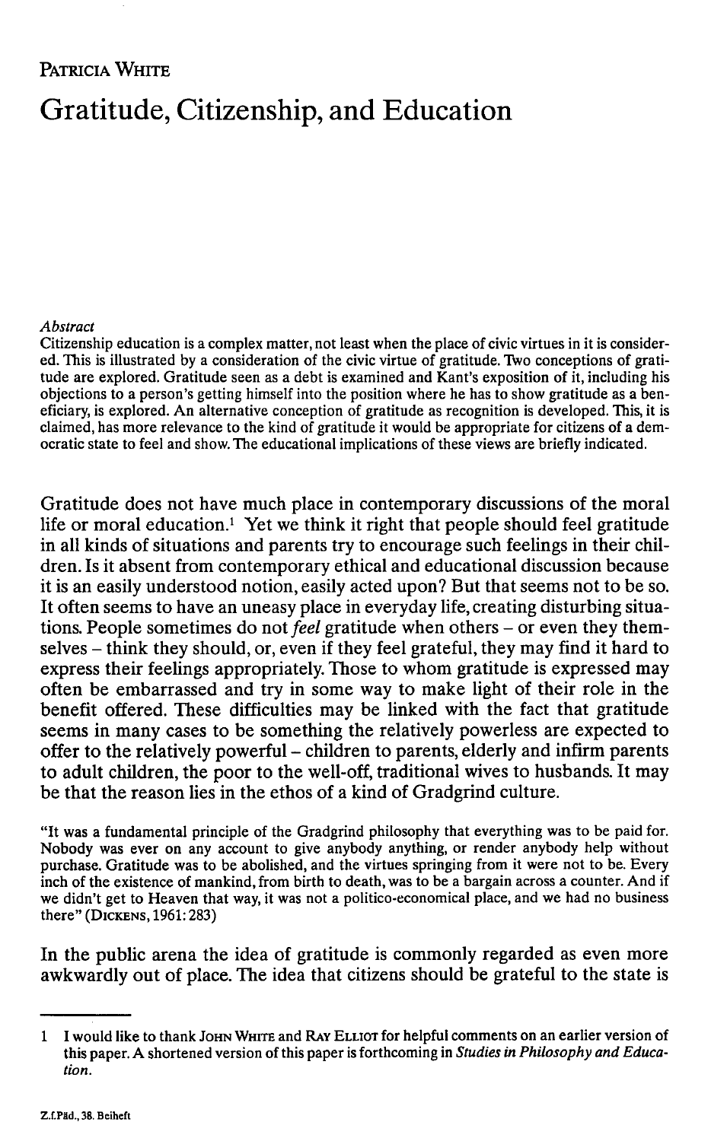# Patricia White Gratitude, Citizenship, and Education

### **Abstract**

Citizenship education is <sup>a</sup> complex matter, not least when the place of civic virtues in it is considered. This is illustrated by a consideration of the civic virtue of gratitude. Two conceptions of gratitude are explored. Gratitude seen as a debt is examined and Kant's exposition of it, including his objections to <sup>a</sup> person's getting himself into the position where he has to show gratitude as <sup>a</sup> beneficiary, is explored. An alternative conception of gratitude as recognition is developed. This, it is claimed, has more relevance to the kind of gratitude it would be appropriate for citizens of a democratic state to feel and show. The educational implications of these views are briefly indicated.

Gratitude does not have much place in contemporary discussions of the moral life or moral education.<sup>1</sup> Yet we think it right that people should feel gratitude in all kinds of situations and parents try to encourage such feelings in their children. Is it absent from contemporary ethical and educational discussion because it is an easily understood notion, easily acted upon? But that seems not to be so. It often seems to have an uneasy place in everyday life, creating disturbing situations. People sometimes do not feel gratitude when others – or even they themselves - think they should, or, even if they feel grateful, they may find it hard to express their feelings appropriately. Those to whom gratitude is expressed may often be embarrassed and try in some way to make light of their role in the benefit offered. These difficulties may be linked with the fact that gratitude seems in many cases to be something the relatively powerless are expected to offer to the relatively powerful – children to parents, elderly and infirm parents to adult children, the poor to the well-off, traditional wives to husbands. It may be that the reason lies in the ethos of a kind of Gradgrind culture.

"It was <sup>a</sup> fundamental principle of the Gradgrind philosophy that everything was to be paid for. Nobody was ever on any account to give anybody anything, or render anybody help without purchase. Gratitude was to be abolished, and the virtues springing from it were not to be. Every inch of the existence of mankind, from birth to death, was to be <sup>a</sup> bargain across <sup>a</sup> counter. And if we didn't get to Heaven that way, it was not <sup>a</sup> politico-economical place, and we had no business there" (Dickens, 1961:283)

In the public arena the idea of gratitude is commonly regarded as even more awkwardly out of place. The idea that citizens should be grateful to the state is

<sup>1</sup> <sup>I</sup> would like to thank John White and Ray Elliot for helpful comments on an earlier version of this paper. A shortened version of this paper is forthcoming in Studies in Philosophy and Education.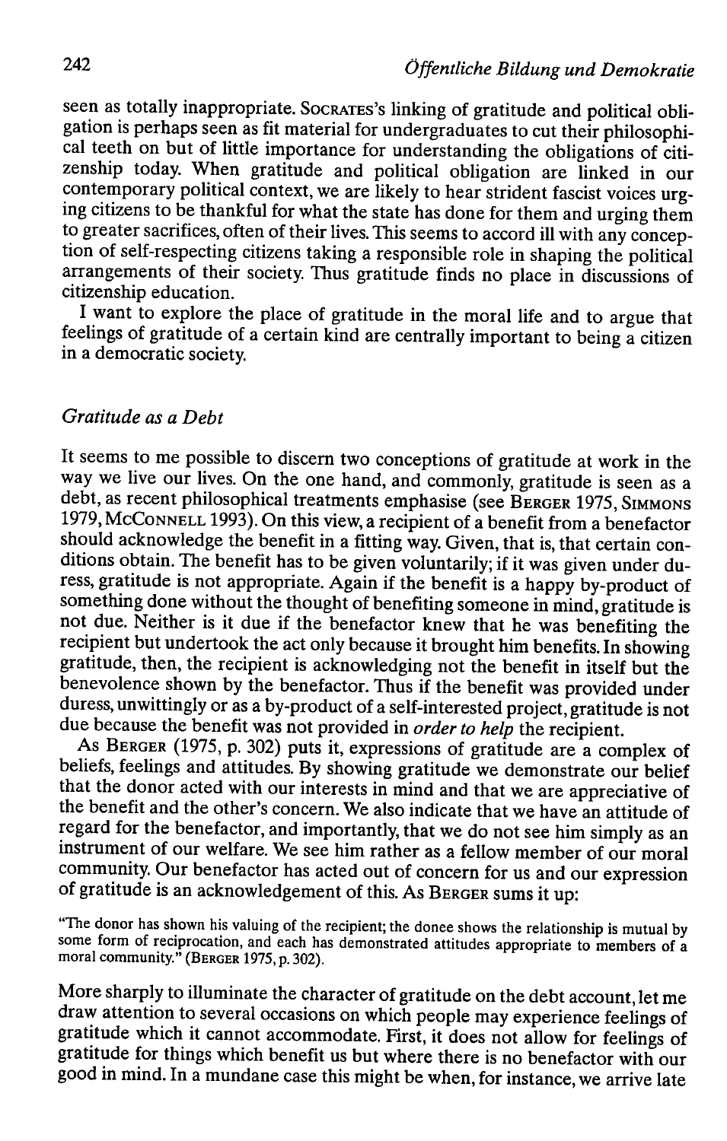seen as totally inappropriate. Socrates's linking of gratitude and political obligation is perhaps seen as fit material for undergraduates to cut their philosophical teeth on but of little importance for understanding the obligations of citizenship today. When gratitude and political obligation are linked in our contemporary political context, we are likely to hear strident fascist voices urging citizens to be thankful for what the state has done for them and urging them<br>to greater sacrifices, often of their lives. This seems to accord ill with any conception of self-respecting citizens taking a responsible role in shaping the political arrangements of their society. Thus gratitude finds no place in discussions of citizenship education.

<sup>I</sup> want to explore the place of gratitude in the moral life and to argue that feelings of gratitude of a certain kind are centrally important to being a citizen in a democratie society.

# Gratitude as a Debt

It seems to me possible to discern two coneeptions of gratitude at work in the way we live our lives. On the one hand, and commonly, gratitude is seen as a debt, as recent philosophical treatments emphasise (see BERGER 1975, SIMMONS 1979, McConnell 1993). On this view, <sup>a</sup> reeipient of <sup>a</sup> benefit from <sup>a</sup> benefactor should acknowledge the benefit in a fitting way. Given, that is, that certain conditions obtain. The benefit has to be given voluntarily; if it was given under duress, gratitude is not appropriate. Again if the benefit is <sup>a</sup> happy by-produet of something done without the thought of benefiting someone in mind, gratitude is not due. Neither is it due if the benefactor knew that he was benefiting the recipient but undertook the act only because it brought him benefits. In showing gratitude, then, the reeipient is acknowledging not the benefit in itself but the benevolence shown by the benefactor. Thus if the benefit was provided under duress, unwittingly or as a by-product of a self-interested project, gratitude is not due because the benefit was not provided in *order to help* the recipient.

As BERGER (1975, p. 302) puts it, expressions of gratitude are a complex of beliefs, feelings and attitudes. By showing gratitude we demonstrate our belief that the donor acted with our interests in mind and that we are appreciative of the benefit and the other's concern. We also indicate that we have an attitude of regard for the benefactor, and importantly, that we do not see him simply as an instrument of our weifare. We see him rather as <sup>a</sup> fellow member of our moral Community. Our benefactor has acted out of concern for us and our expression of gratitude is an acknowledgement of this. As Berger sums it up:

"The donor has shown his valuing of the reeipient; the donee shows the relationship is mutual by some form of reeiprocation, and each has demonstrated attitudes appropriate to members of <sup>a</sup> moral community." (BERGER 1975, p. 302).

More sharply to illuminate the character of gratitude on the debt account, let me draw attention to several occasions on which people may experience feelings of gratitude which it cannot accommodate. First, it does not allow for feelings of gratitude for things which benefit us but where there is no benefactor with our good in mind. In <sup>a</sup> mundane case this might be when, for instance, we arrive late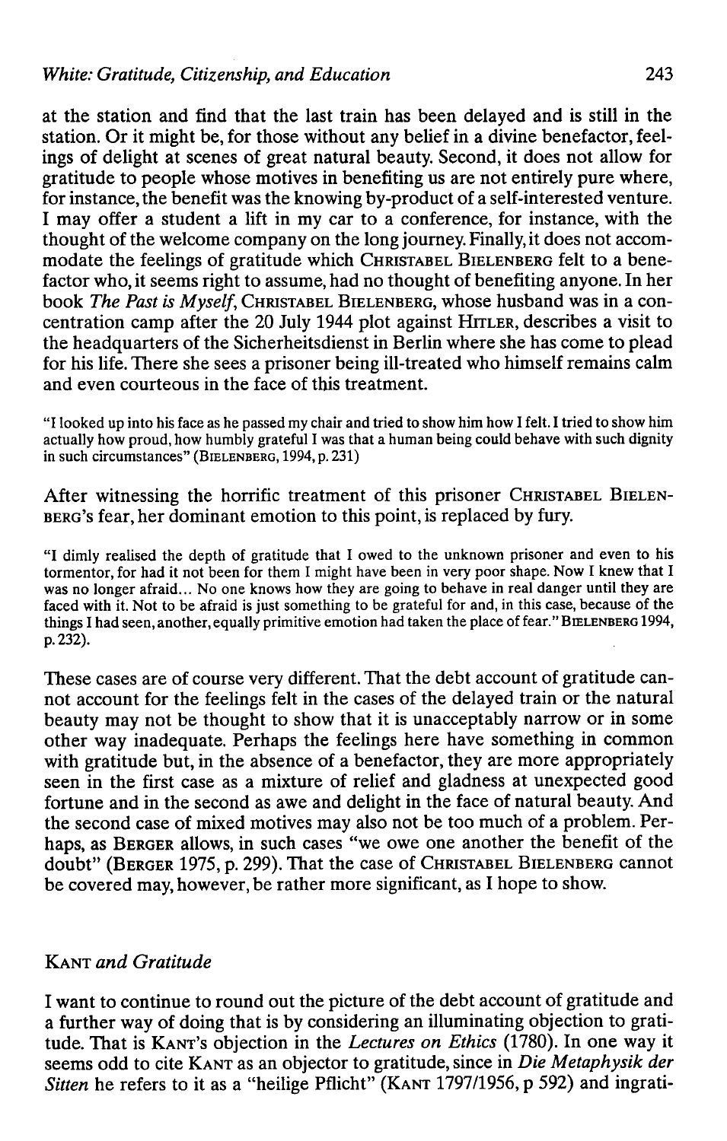at the Station and find that the last train has been delayed and is still in the station. Or it might be, for those without any belief in a divine benefactor, feelings of delight at scenes of great natural beauty. Second, it does not allow for gratitude to people whose motives in benefiting us are not entirely pure where, for instance, the benefit was the knowing by-product of <sup>a</sup> self-interested venture. I may offer a student a lift in my car to a conference, for instance, with the thought of the welcome company on the long journey. Finally, it does not accommodate the feelings of gratitude which CHRISTABEL BIELENBERG felt to a benefactor who, it seems right to assume, had no thought of benefiting anyone. In her book The Past is Myself, CHRISTABEL BIELENBERG, whose husband was in a concentration camp after the 20 July 1944 plot against HITLER, describes a visit to the headquarters of the Sicherheitsdienst in Berlin where she has come to plead for his life. There she sees <sup>a</sup> prisoner being ill-treated who himself remains calm and even courteous in the face of this treatment.

"I looked up into his face as he passed my chair and tried to show him how <sup>I</sup> feit. <sup>I</sup> tried to show him actually how proud, how humbly grateful <sup>I</sup> was that <sup>a</sup> human being could behave with such dignity in such circumstances" (Bielenberg, 1994, p. 231)

After witnessing the horrific treatment of this prisoner CHRISTABEL BIELENberg's fear, her dominant emotion to this point, is replaced by fury.

"I dimly realised the depth of gratitude that <sup>I</sup> owed to the unknown prisoner and even to his tormentor, for had it not been for them <sup>I</sup> might have been in very poor shape. Now <sup>I</sup> knew that <sup>I</sup> was no longer afraid... No one knows how they are going to behave in real danger until they are faced with it. Not to be afraid is just something to be grateful for and, in this case, because of the things I had seen, another, equally primitive emotion had taken the place of fear." BIELENBERG 1994, p.232).

These cases are of course very different. That the debt account of gratitude can not account for the feelings feit in the cases of the delayed train or the natural beauty may not be thought to show that it is unacceptably narrow or in some other way inadequate. Perhaps the feelings here have something in common with gratitude but, in the absence of <sup>a</sup> benefactor, they are more appropriately seen in the first case as a mixture of relief and gladness at unexpected good fortune and in the second as awe and delight in the face of natural beauty. And the second case of mixed motives may also not be too much of a problem. Perhaps, as BERGER allows, in such cases "we owe one another the benefit of the doubt" (BERGER 1975, p. 299). That the case of CHRISTABEL BIELENBERG cannot be covered may, however, be rather more significant, as <sup>I</sup> hope to show.

# Kant and Gratitude

<sup>I</sup> want to continue to round out the picture of the debt account of gratitude and a further way of doing that is by considering an illuminating objection to gratitude. That is KANT's objection in the Lectures on Ethics (1780). In one way it seems odd to cite KANT as an objector to gratitude, since in Die Metaphysik der Sitten he refers to it as a "heilige Pflicht" (KANT 1797/1956, p 592) and ingrati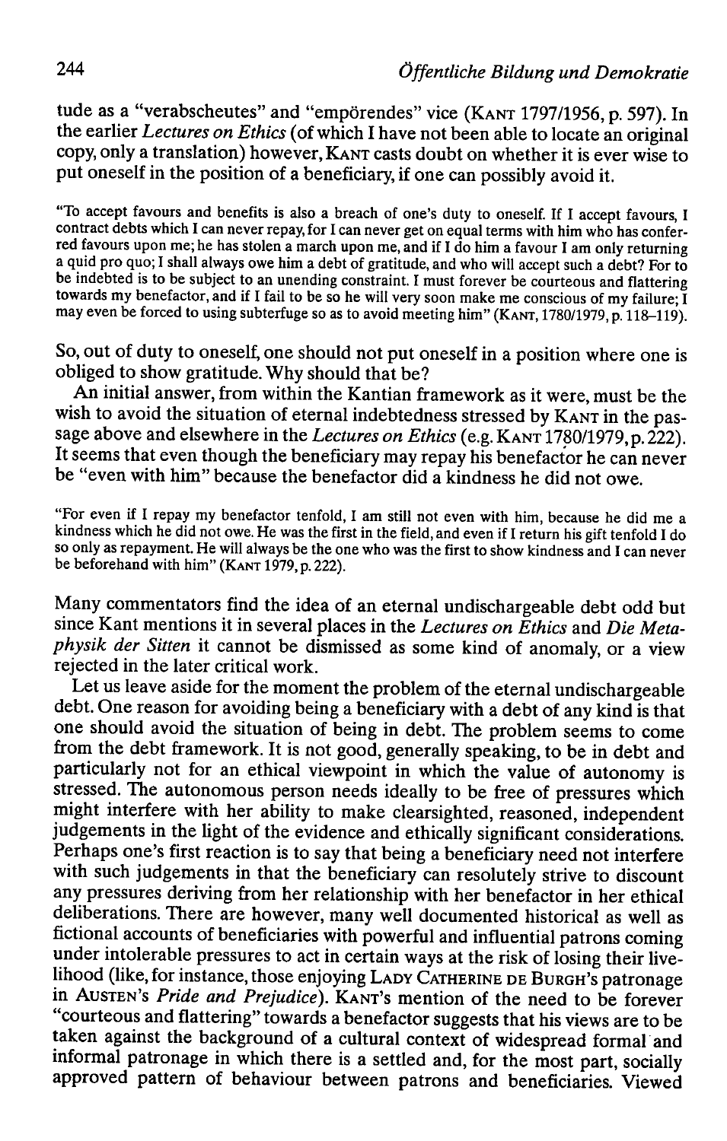tude as a "verabscheutes" and "empörendes" vice (KANT 1797/1956, p. 597). In the earlier Lectures on Ethics (of which <sup>I</sup> have not been able to locate an original copy, only a translation) however, Kant casts doubt on whether it is ever wise to put oneself in the position of <sup>a</sup> beneficiary, if one can possibly avoid it.

"To accept favours and benefits is also <sup>a</sup> breach of one's duty to oneself. If <sup>I</sup> accept favours, <sup>I</sup> contract debts which I can never repay, for I can never get on equal terms with him who has confer-<br>red favours upon me; he has stolen a march upon me, and if I do him a favour I am only returning a quid pro quo; I shall always owe him a debt of gratitude, and who will accept such a debt? For to<br>be indebted is to be subject to an unending constraint. I must forever be courteous and flattering towards my benefactor, and if I fail to be so he will very soon make me conscious of my failure;  $\bar{I}$ may even be forced to using subterfuge so as to avoid meeting him" (Kant, 1780/1979, p. 118-119).

So, out of duty to oneself, one should not put oneself in <sup>a</sup> position where one is obliged to show gratitude. Why should that be?

An initial answer, from within the Kantian framework as it were, must be the wish to avoid the situation of eternal indebtedness stressed by KANT in the passage above and elsewhere in the Lectures on Ethics (e.g. KANT 1780/1979, p. 222). It seems that even though the beneficiary may repay his benefactor he can never be "even with him" because the benefactor did a kindness he did not owe.

"For even if <sup>I</sup> repay my benefactor tenfold, <sup>I</sup> am still not even with him, because he did me <sup>a</sup> kindness which he did not owe. He was the first in the field, and even if <sup>I</sup> return his gift tenfold <sup>I</sup> do so only as repayment. He will always be the one who was the first to show kindness and <sup>I</sup> can never be beforehand with him" (KANT 1979, p. 222).

Many commentators find the idea of an eternal undischargeable debt odd but since Kant mentions it in several places in the Lectures on Ethics and Die Metaphysik der Sitten it cannot be dismissed as some kind of anomaly, or <sup>a</sup> view rejeeted in the later critical work.

Let us leave aside for the moment the problem of the eternal undischargeable debt. One reason for avoiding being <sup>a</sup> beneficiary with <sup>a</sup> debt of any kind is that one should avoid the Situation of being in debt. The problem seems to come from the debt framework. It is not good, generally speaking, to be in debt and particularly not for an ethical viewpoint in which the value of autonomy is stressed. The autonomous person needs ideally to be free of pressures which might interfere with her ability to make clearsighted, reasoned, independent judgements in the light of the evidence and ethically significant considerations. Perhaps one's first reaction is to say that being a beneficiary need not interfere with such judgements in that the beneficiary can resolutely strive to discount any pressures deriving from her relationship with her benefactor in her ethical deliberations. There are however, many well documented historical as well as fictional accounts of beneficiaries with powerful and influential patrons coming under intolerable pressures to act in certain ways at the risk of losing their livelihood (like, for instance, those enjoying LADY CATHERINE DE BURGH's patronage in Austen's Pride and Prejudice). Kant's mention of the need to be forever "courteous and flattering" towards <sup>a</sup> benefactor suggests that his views are to be taken against the background of <sup>a</sup> cultural context of widespread formal and informal patronage in which there is <sup>a</sup> settled and, for the most part, socially approved pattern of behaviour between patrons and beneficiaries. Viewed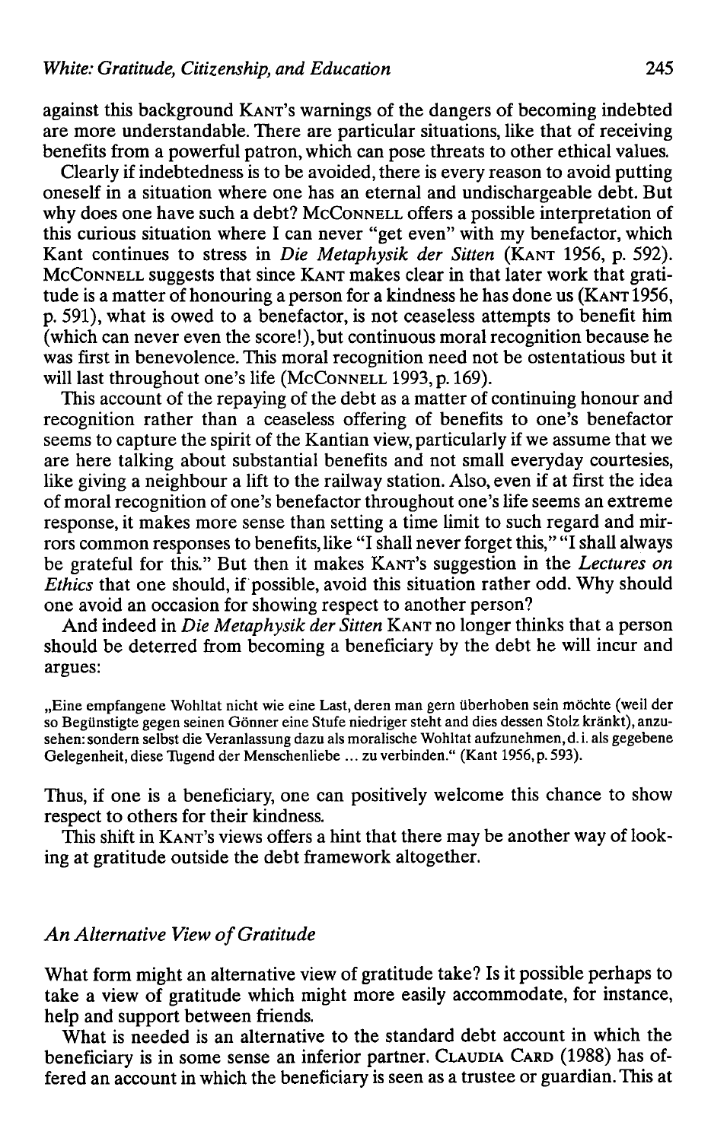against this background Kant's warnings of the dangers of becoming indebted are more understandable. There are particular situations, like that of receiving benefits from a powerful patron, which can pose threats to other ethical values.

Clearly if indebtedness is to be avoided, there is every reason to avoid putting oneself in <sup>a</sup> Situation where one has an eternal and undischargeable debt. But why does one have such a debt? McConnell offers a possible interpretation of this curious situation where I can never "get even" with my benefactor, which Kant continues to stress in *Die Metaphysik der Sitten* (KANT 1956, p. 592). McConnell suggests that since KANT makes clear in that later work that gratitude is <sup>a</sup> matter of honouring <sup>a</sup> person for <sup>a</sup> kindness he has done us (Kant 1956, p. 591), what is owed to <sup>a</sup> benefactor, is not ceaseless attempts to benefit him (which can never even the score!),but continuous moral recognition because he was first in benevolence. This moral recognition need not be ostentatious but it will last throughout one's life (McConnell 1993, p. 169).

This account of the repaying of the debt as a matter of continuing honour and recognition rather than a ceaseless offering of benefits to one's benefactor seems to capture the spirit of the Kantian view, particularly if we assume that we are here talking about substantial benefits and not small everyday courtesies, like giving a neighbour a lift to the railway station. Also, even if at first the idea of moral recognition of one's benefactor throughout one's life seems an extreme response, it makes more sense than setting <sup>a</sup> time limit to such regard and mirrors common responses to benefits, like "I shall never forget this," "I shall always be grateful for this." But then it makes KANT's suggestion in the Lectures on Ethics that one should, if possible, avoid this Situation rather odd. Why should one avoid an occasion for showing respect to another person?

And indeed in Die Metaphysik der Sitten KANT no longer thinks that a person should be deterred from becoming <sup>a</sup> beneficiary by the debt he will incur and argues:

"Eine empfangene Wohltat nicht wie eine Last, deren man gern überhoben sein möchte (weil der so Begünstigte gegen seinen Gönner eine Stufe niedriger steht and dies dessen Stolz kränkt), anzusehen: sondern selbst die Veranlassung dazu als moralische Wohltat aufzunehmen, d. i. als gegebene Gelegenheit, diese Tugend der Menschenliebe ... zu verbinden." (Kant 1956,p. 593).

Thus, if one is <sup>a</sup> beneficiary, one can positively welcome this chance to show respect to others for their kindness.

This shift in Kant's views offers <sup>a</sup> hint that there may be another way of looking at gratitude outside the debt framework altogether.

# An Alternative View of Gratitude

What form might an alternative view of gratitude take? Is it possible perhaps to take <sup>a</sup> view of gratitude which might more easily accommodate, for instance, help and support between friends.

What is needed is an alternative to the standard debt account in which the beneficiary is in some sense an inferior partner. CLAUDIA CARD (1988) has offered an account in which the beneficiary is seen as a trustee or guardian.This at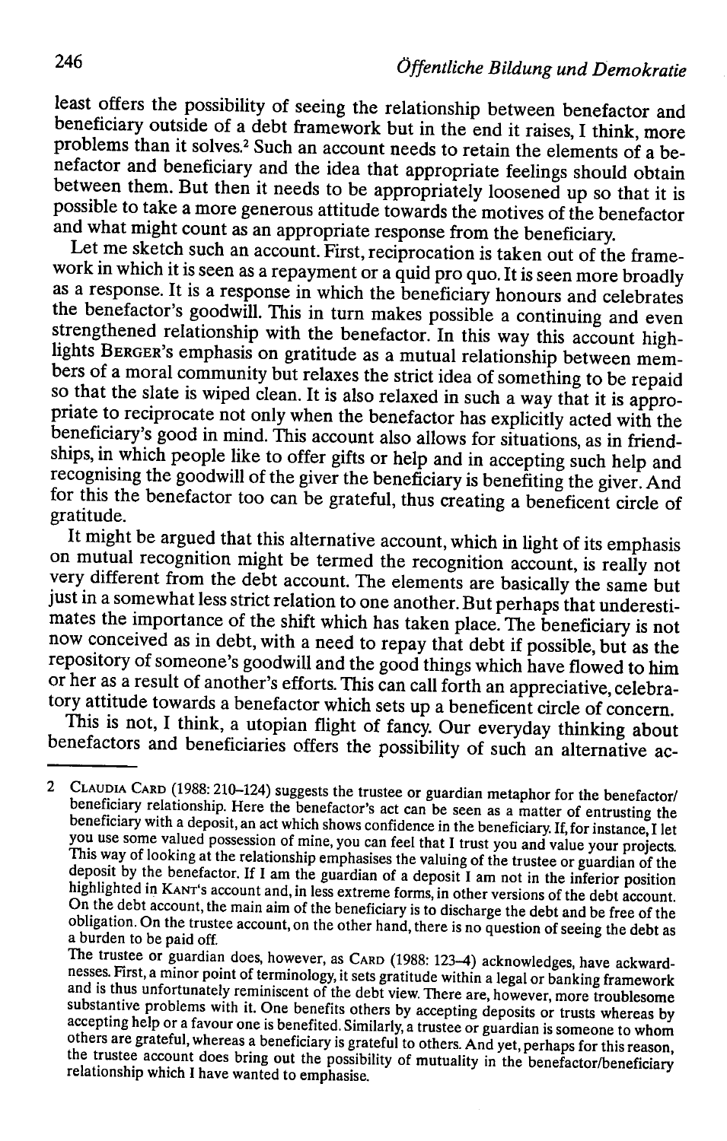least offers the possibility of seeing the relationship between benefactor and beneficiary outside of <sup>a</sup> debt framework but in the end it raises, <sup>I</sup> think, more problems than it solves.<sup>2</sup> Such an account needs to retain the elements of a benefactor and beneficiary and the idea that appropriate feelings should obtain between them. But then it needs to be appropriately loosened up so that it is possible to take a more generous attitude towards the motives of the benefactor

and what might count as an appropriate response from the beneficiary.<br>Let me sketch such an account. First, reciprocation is taken out of the frame-<br>work in which it is seen as a repayment or a quid pro quo. It is seen mor as a response. It is a response in which the beneficiary honours and celebrates the benefactor's goodwill. This in turn makes possible a continuing and even strengthened relationship with the benefactor. In this way this account highlights BERGER's emphasis on gratitude as a mutual relationship between members of a moral community but relaxes the strict idea of something to be repaid so that the slate is wiped clean. It is also relaxed in such a way that it is appropriate to reciprocate not only when the benefactor has explicitly acted with the beneficiary's good in mind. This account also allows for situations, as in friendships, in which people like to offer gifts or help and in accepting such help and recognising the goodwill of the giver the beneficiary is benefiting the giver. And for this the benefactor too can be grateful, thus creating <sup>a</sup> beneficent circle of

gratitude.<br>It might be argued that this alternative account, which in light of its emphasis on mutual recognition might be termed the recognition account, is really not very different from the debt account. The elements are basically the same but just in <sup>a</sup> somewhat less strict relation to one another. But perhaps that underestimates the importance of the shift which has taken place. The beneficiary is not now conceived as in debt, with a need to repay that debt if possible, but as the repository of someone's goodwill and the good things which have flowed to him or her as a result of another's efforts. This can call forth an appreciative, celebratory attitude towards <sup>a</sup> benefactor which sets up <sup>a</sup> beneficent circle of concern.

This is not, <sup>I</sup> think, <sup>a</sup> utopian flight of fancy. Our everyday thinking about benefactors and beneficiaries offers the possibility of such an alternative ac-

<sup>2</sup> CLAUDIA CARD (1988: 210-124) suggests the trustee or guardian metaphor for the benefactor/ beneficiary relationship. Here the benefactor's act can be seen as a matter of entrusting the beneficiary with a deposit, an act which shows confidence in the beneficiary. If, for instance, I let you use some valued possession of mine, you can feel that I trust you and value your projects.<br>This way of looking at the relationship emphasises the valuing of the trustee or guardian of the<br>deposit by the benefactor. If

nesses. First, a minor point of terminology, it sets gratitude within a legal or banking framework<br>and is thus unfortunately reminiscent of the debt view. There are, however, more troublesome<br>substantive problems with it.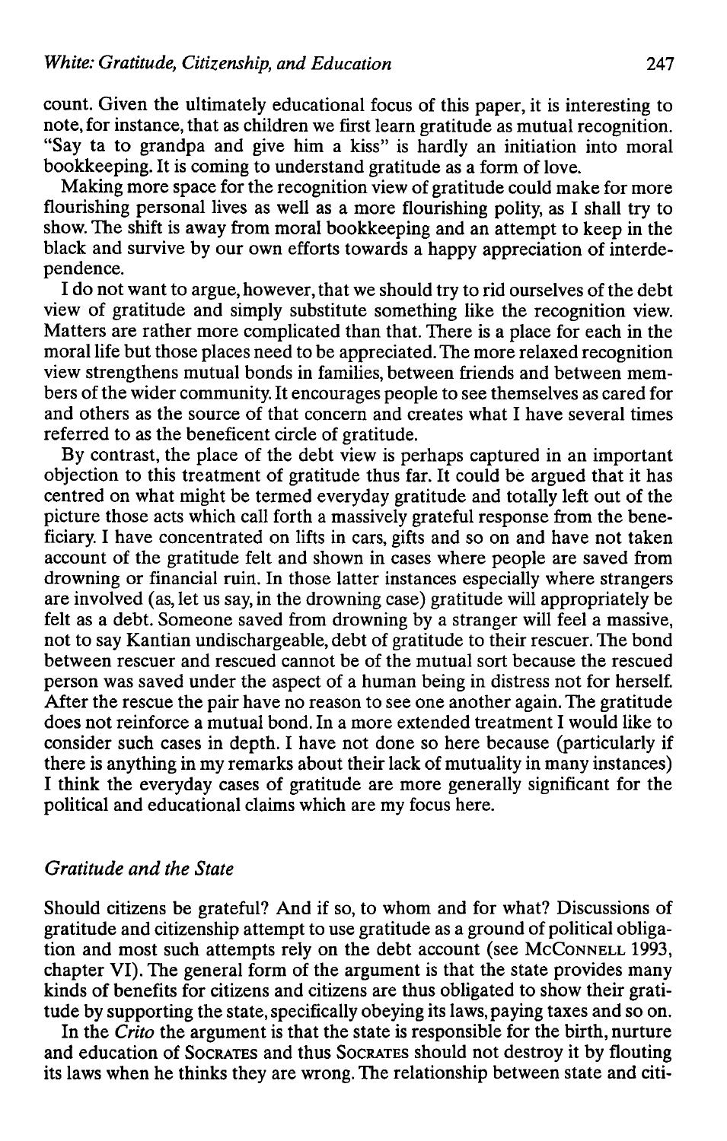count. Given the ultimately educational focus of this paper, it is interesting to note, for instance, that as children we first learn gratitude as mutual recognition. "Say ta to grandpa and give him <sup>a</sup> kiss" is hardly an initiation into moral bookkeeping. It is coming to understand gratitude as a form of love.

Making more space for the recognition view of gratitude could make for more flourishing personal lives as well as a more flourishing polity, as <sup>I</sup> shall try to show. The shift is away from moral bookkeeping and an attempt to keep in the black and survive by our own efforts towards <sup>a</sup> happy appreciation of interdependence.

<sup>I</sup> do not want to argue, however, that we should try to rid ourselves of the debt view of gratitude and simply Substitute something like the recognition view. Matters are rather more complicated than that. There is a place for each in the moral life but those places need to be appreciated. The more relaxed recognition view strengthens mutual bonds in families, between friends and between mem bers of the wider community. It encourages people to see themselves as cared for and others as the source of that concern and creates what <sup>I</sup> have several times referred to as the beneficent circle of gratitude.

By contrast, the place of the debt view is perhaps captured in an important objection to this treatment of gratitude thus far. It could be argued that it has centred on what might be termed everyday gratitude and totally left out of the picture those acts which call forth a massively grateful response from the beneficiary. <sup>I</sup> have concentrated on lifts in cars, gifts and so on and have not taken account of the gratitude feit and shown in cases where people are saved from drowning or financial ruin. In those latter instances especially where strangers are involved (as, let us say, in the drowning case) gratitude will appropriately be feit as <sup>a</sup> debt. Someone saved from drowning by <sup>a</sup> stranger will feel <sup>a</sup> massive, not to say Kantian undischargeable, debt of gratitude to their rescuer. The bond between rescuer and rescued cannot be of the mutual sort because the rescued person was saved under the aspect of <sup>a</sup> human being in distress not for herseif After the rescue the pair have no reason to see one another again. The gratitude does not reinforce a mutual bond. In a more extended treatment <sup>I</sup> would like to consider such cases in depth. <sup>I</sup> have not done so here because (particularly if there is anything in my remarks about their lack of mutuality in many instances) <sup>I</sup> think the everyday cases of gratitude are more generally significant for the political and educational claims which are my focus here.

# Gratitude and the State

Should Citizens be grateful? And if so, to whom and for what? Discussions of gratitude and citizenship attempt to use gratitude as a ground of political obligation and most such attempts rely on the debt account (see McConnell 1993, chapter VI). The general form of the argument is that the State provides many kinds of benefits for citizens and citizens are thus obligated to show their gratitude by supporting the State, specifically obeying its laws, paying taxes and so on.

In the *Crito* the argument is that the state is responsible for the birth, nurture and education of Socrates and thus Socrates should not destroy it by flouting its laws when he thinks they are wrong. The relationship between State and citi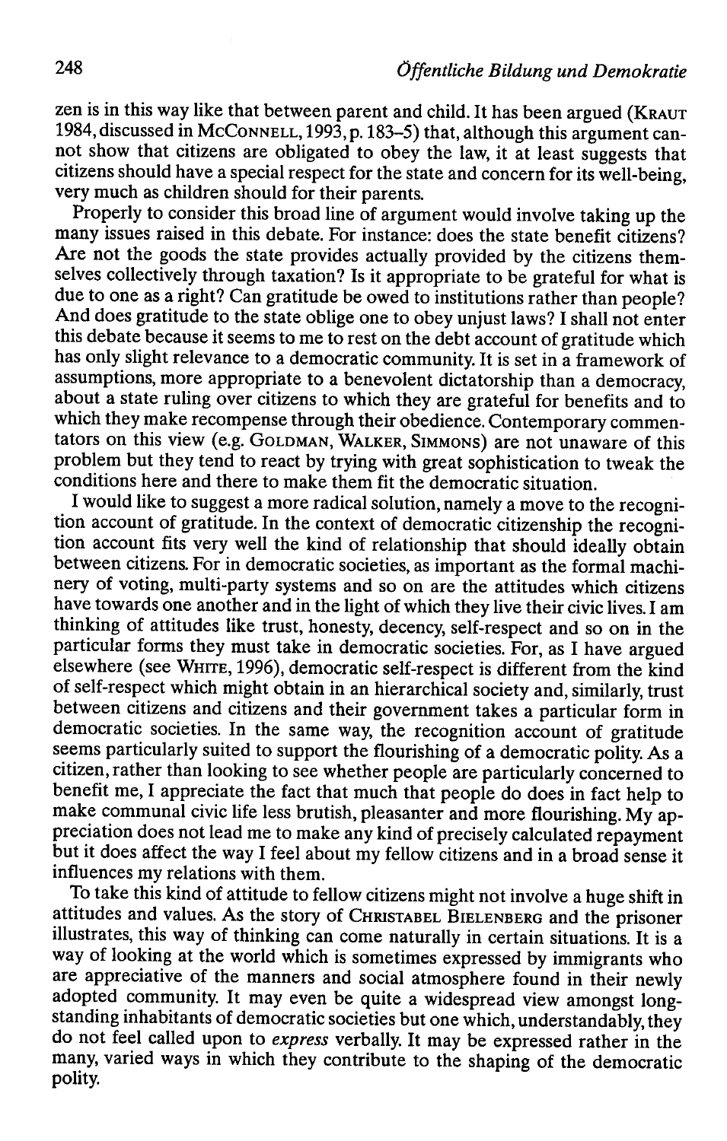zen is in this way like that between parent and child. It has been argued (Kraut 1984, discussed in McConnell, 1993, p. 183-5) that, although this argument cannot show that Citizens are obligated to obey the law, it at least suggests that citizens should have a special respect for the state and concern for its well-being, very much as children should for their parents.

Properly to consider this broad line of argument would involve taking up the many issues raised in this debate. For instance: does the state benefit citizens? Are not the goods the state provides actually provided by the citizens themselves collectively through taxation? Is it appropriate to be grateful for what is due to one as <sup>a</sup> right? Can gratitude be owed to institutions rather than people? And does gratitude to the state oblige one to obey unjust laws? I shall not enter this debate because it seems to me to rest on the debt account of gratitude which has only slight relevance to <sup>a</sup> democratie community. It is set in <sup>a</sup> framework of assumptions, more appropriate to <sup>a</sup> benevolent dietatorship than <sup>a</sup> democracy, about a state ruling over citizens to which they are grateful for benefits and to which they make recompense through their obedience. Contemporary commentators on this view (e.g. GOLDMAN, WALKER, SIMMONS) are not unaware of this problem but they tend to react by trying with great sophistication to tweak the conditions here and there to make them fit the democratic situation.

I would like to suggest a more radical solution, namely a move to the recognition account of gratitude. In the context of democratic citizenship the recognition account fits very well the kind of relationship that should ideally obtain between citizens. For in democratic societies, as important as the formal machinery of voting, multi-party systems and so on are the attitudes which citizens have towards one another and in the light of which they live their civic lives. <sup>I</sup> am thinking of attitudes like trust, honesty, decency, self-respect and so on in the particular forms they must take in democratie societies. For, as <sup>I</sup> have argued elsewhere (see WHITE, 1996), democratic self-respect is different from the kind of self-respect which might obtain in an hierarchical society and, similarly, trust between citizens and citizens and their government takes a particular form in democratic societies. In the same way, the recognition account of gratitude seems particularly suited to support the flourishing of a democratic polity. As a citizen, rather than looking to see whether people are particularly concerned to benefit me, <sup>I</sup> appreciate the fact that much that people do does in fact help to make communal civic life less brutish, pleasanter and more flourishing. My appreciation does not lead me to make any kind of precisely calculated repayment but it does affect the way <sup>I</sup> feel about my fellow Citizens and in <sup>a</sup> broad sense it influences my relations with them.

To take this kind of attitude to fellow citizens might not involve a huge shift in attitudes and values. As the story of CHRISTABEL BIELENBERG and the prisoner illustrates, this way of thinking can come naturally in certain situations. It is <sup>a</sup> way of looking at the world which is sometimes expressed by immigrants who are appreciative of the manners and social atmosphere found in their newly adopted community. It may even be quite a widespread view amongst long-<br>standing inhabitants of democratic societies but one which, understandably, they do not feel called upon to express verbally. It may be expressed rather in the many, varied ways in which they contribute to the shaping of the democratie polity.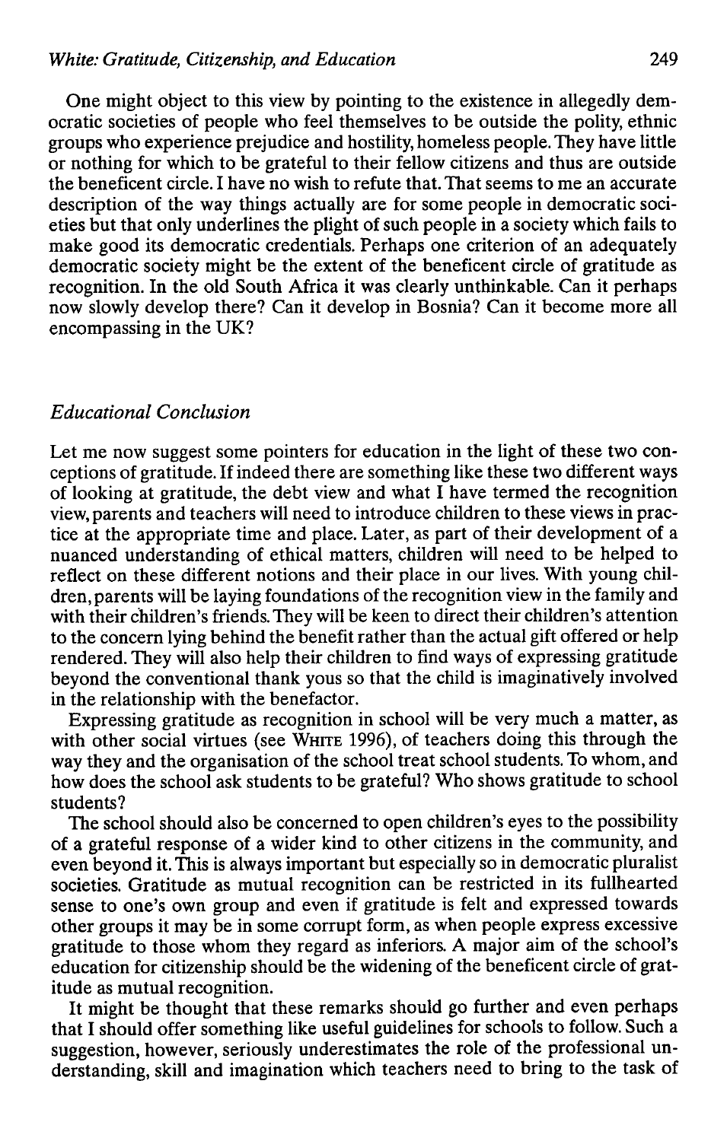# White: Gratitude, Citizenship, and Education 249

One might object to this view by pointing to the existence in allegedly dem ocratie societies of people who feel themselves to be outside the polity, ethnic groups who experience prejudice and hostility, homeless people. They have little or nothing for which to be grateful to their fellow Citizens and thus are outside the beneficent circle. <sup>I</sup> have no wish to refute that. That seems to me an accurate description of the way things actually are for some people in democratic societies but that only underlines the plight of such people in <sup>a</sup> society which fails to make good its democratie credentials. Perhaps one criterion of an adequately democratie society might be the extent of the beneficent circle of gratitude as recognition. In the old South Africa it was clearly unthinkable. Can it perhaps now slowly develop there? Can it develop in Bosnia? Can it become more all encompassing in the UK?

# Educational Conclusion

Let me now suggest some pointers for education in the light of these two conceptions of gratitude. If indeed there are something like these two different ways of looking at gratitude, the debt view and what <sup>I</sup> have termed the recognition view, parents and teachers will need to introduce children to these views in practice at the appropriate time and place. Later, as part of their development of a nuanced understanding of ethical matters, children will need to be helped to reflect on these different notions and their place in our lives. With young children, parents will be laying foundations of the recognition view in the family and with their children's friends.They will be keen to direct their children's attention to the concern lying behind the benefit rather than the actual gift offered or help rendered. They will also help their children to find ways of expressing gratitude beyond the conventional thank yous so that the child is imaginatively involved in the relationship with the benefactor.

Expressing gratitude as recognition in school will be very much <sup>a</sup> matter, as with other social virtues (see WHITE 1996), of teachers doing this through the way they and the organisation of the school treat school students. To whom, and how does the school ask students to be grateful? Who shows gratitude to school students?

The school should also be concerned to open children's eyes to the possibility of <sup>a</sup> grateful response of <sup>a</sup> wider kind to other Citizens in the community, and even beyond it. This is always important but especially so in democratie pluralist societies. Gratitude as mutual recognition can be restricted in its fullhearted sense to one's own group and even if gratitude is feit and expressed towards other groups it may be in some corrupt form, as when people express excessive gratitude to those whom they regard as inferiors. A major aim of the school's education for citizenship should be the widening of the beneficent circle of grat itude as mutual recognition.

It might be thought that these remarks should go further and even perhaps that <sup>I</sup> should offer something like useful guidelines for schools to follow. Such <sup>a</sup> suggestion, however, seriously underestimates the role of the professional understanding, skill and imagination which teachers need to bring to the task of